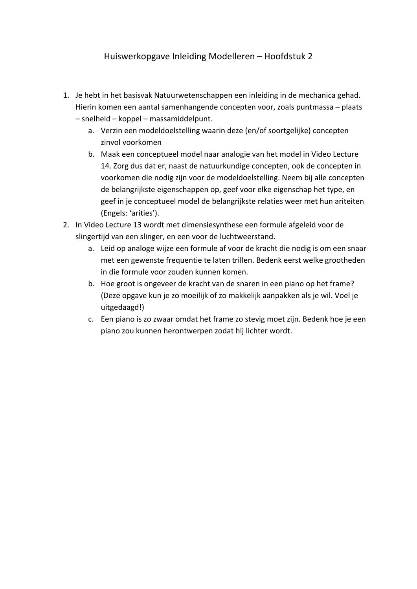## Huiswerkopgave Inleiding Modelleren – Hoofdstuk 2

- 1. Je hebt in het basisvak Natuurwetenschappen een inleiding in de mechanica gehad. Hierin komen een aantal samenhangende concepten voor, zoals puntmassa – plaats – snelheid – koppel – massamiddelpunt.
	- a. Verzin een modeldoelstelling waarin deze (en/of soortgelijke) concepten zinvol voorkomen
	- b. Maak een conceptueel model naar analogie van het model in Video Lecture 14. Zorg dus dat er, naast de natuurkundige concepten, ook de concepten in voorkomen die nodig zijn voor de modeldoelstelling. Neem bij alle concepten de belangrijkste eigenschappen op, geef voor elke eigenschap het type, en geef in je conceptueel model de belangrijkste relaties weer met hun ariteiten (Engels: 'arities').
- 2. In Video Lecture 13 wordt met dimensiesynthese een formule afgeleid voor de slingertijd van een slinger, en een voor de luchtweerstand.
	- a. Leid op analoge wijze een formule af voor de kracht die nodig is om een snaar met een gewenste frequentie te laten trillen. Bedenk eerst welke grootheden in die formule voor zouden kunnen komen.
	- b. Hoe groot is ongeveer de kracht van de snaren in een piano op het frame? (Deze opgave kun je zo moeilijk of zo makkelijk aanpakken als je wil. Voel je uitgedaagd!)
	- c. Een piano is zo zwaar omdat het frame zo stevig moet zijn. Bedenk hoe je een piano zou kunnen herontwerpen zodat hij lichter wordt.